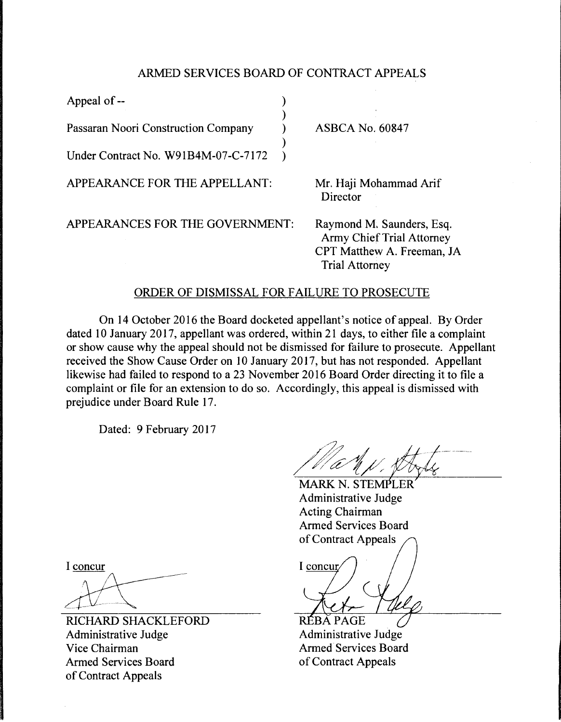## ARMED SERVICES BOARD OF CONTRACT APPEALS

| Appeal of --                        |                                                                                                                      |
|-------------------------------------|----------------------------------------------------------------------------------------------------------------------|
| Passaran Noori Construction Company | <b>ASBCA No. 60847</b>                                                                                               |
| Under Contract No. W91B4M-07-C-7172 |                                                                                                                      |
| APPEARANCE FOR THE APPELLANT:       | Mr. Haji Mohammad Arif<br>Director                                                                                   |
| APPEARANCES FOR THE GOVERNMENT:     | Raymond M. Saunders, Esq.<br><b>Army Chief Trial Attorney</b><br>CPT Matthew A. Freeman, JA<br><b>Trial Attorney</b> |

## ORDER OF DISMISSAL FOR FAILURE TO PROSECUTE

On 14 October 2016 the Board docketed appellant's notice of appeal. By Order dated 10 January 2017, appellant was ordered, within 21 days, to either file a complaint or show cause why the appeal should not be dismissed for failure to prosecute. Appellant received the Show Cause Order on 10 January 2017, but has not responded. Appellant likewise had failed to respond to a 23 November 2016 Board Order directing it to file a complaint or file for an extension to do so. Accordingly, this appeal is dismissed with prejudice under Board Rule 17.

Dated: 9 February 2017

MARK N. STEMPLER Administrative Judge Acting Chairman Armed Services Board of Contract Appeals

I concur

RÉBA PAGE Administrative Judge Armed Services Board of Contract Appeals

I concur

RICHARD SHACKLEFORD Administrative Judge Vice Chairman Armed Services Board of Contract Appeals